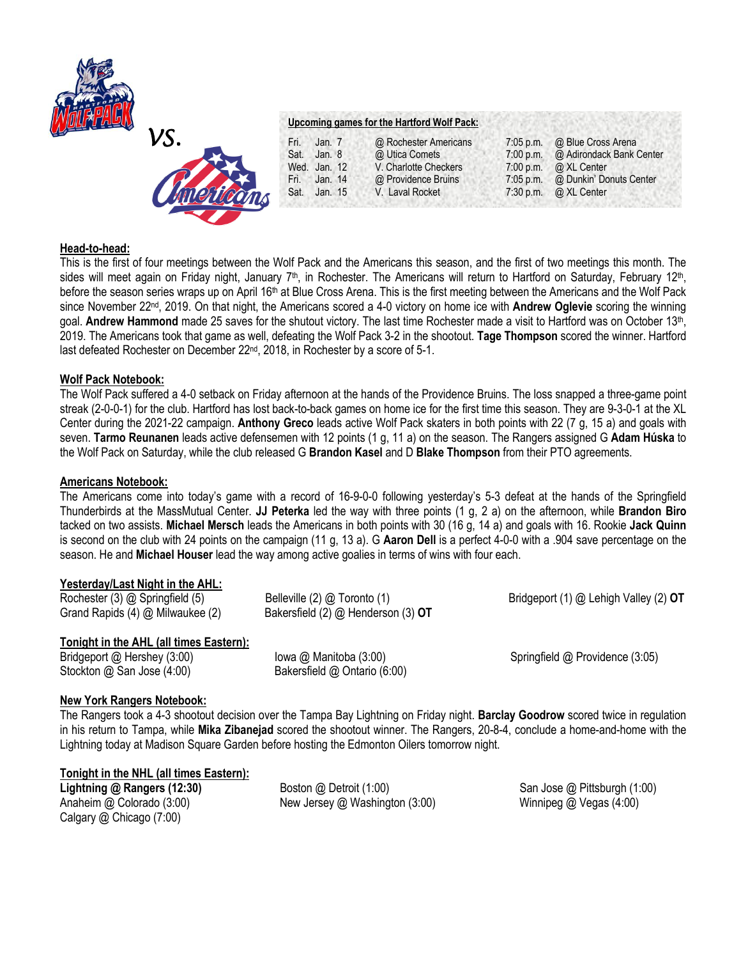



## **Upcoming games for the Hartford Wolf Pack:**

| Fri. |              |                       |             |                          |
|------|--------------|-----------------------|-------------|--------------------------|
|      | Jan. $7$     | @ Rochester Americans | $7:05$ p.m. | @ Blue Cross Arena       |
| Sat. | Jan. 8       | @ Utica Comets        | $7:00$ p.m. | @ Adirondack Bank Center |
|      | Wed. Jan. 12 | V. Charlotte Checkers | 7:00 p.m.   | @ XL Center              |
| Fri. | Jan. 14      | @ Providence Bruins   | $7:05$ p.m. | @ Dunkin' Donuts Center  |
| Sat. | Jan. 15      | V. Laval Rocket       | 7:30 p.m.   | @ XL Center              |
|      |              |                       |             |                          |

### **Head-to-head:**

This is the first of four meetings between the Wolf Pack and the Americans this season, and the first of two meetings this month. The sides will meet again on Friday night, January 7<sup>th</sup>, in Rochester. The Americans will return to Hartford on Saturday, February 12<sup>th</sup>, before the season series wraps up on April 16<sup>th</sup> at Blue Cross Arena. This is the first meeting between the Americans and the Wolf Pack since November 22nd, 2019. On that night, the Americans scored a 4-0 victory on home ice with **Andrew Oglevie** scoring the winning goal. Andrew Hammond made 25 saves for the shutout victory. The last time Rochester made a visit to Hartford was on October 13<sup>th</sup>, 2019. The Americans took that game as well, defeating the Wolf Pack 3-2 in the shootout. **Tage Thompson** scored the winner. Hartford last defeated Rochester on December 22<sup>nd</sup>, 2018, in Rochester by a score of 5-1.

### **Wolf Pack Notebook:**

The Wolf Pack suffered a 4-0 setback on Friday afternoon at the hands of the Providence Bruins. The loss snapped a three-game point streak (2-0-0-1) for the club. Hartford has lost back-to-back games on home ice for the first time this season. They are 9-3-0-1 at the XL Center during the 2021-22 campaign. **Anthony Greco** leads active Wolf Pack skaters in both points with 22 (7 g, 15 a) and goals with seven. **Tarmo Reunanen** leads active defensemen with 12 points (1 g, 11 a) on the season. The Rangers assigned G **Adam Húska** to the Wolf Pack on Saturday, while the club released G **Brandon Kasel** and D **Blake Thompson** from their PTO agreements.

#### **Americans Notebook:**

The Americans come into today's game with a record of 16-9-0-0 following yesterday's 5-3 defeat at the hands of the Springfield Thunderbirds at the MassMutual Center. **JJ Peterka** led the way with three points (1 g, 2 a) on the afternoon, while **Brandon Biro**  tacked on two assists. **Michael Mersch** leads the Americans in both points with 30 (16 g, 14 a) and goals with 16. Rookie **Jack Quinn**  is second on the club with 24 points on the campaign (11 g, 13 a). G **Aaron Dell** is a perfect 4-0-0 with a .904 save percentage on the season. He and **Michael Houser** lead the way among active goalies in terms of wins with four each.

#### **Yesterday/Last Night in the AHL:**

| Rochester (3) @ Springfield (5)  | Belleville (2) @ Toronto (1)           | Bridgeport (1) @ Lehigh Valley (2) OT |
|----------------------------------|----------------------------------------|---------------------------------------|
| Grand Rapids (4) @ Milwaukee (2) | Bakersfield $(2)$ @ Henderson $(3)$ OT |                                       |
|                                  |                                        |                                       |

# **Tonight in the AHL (all times Eastern):**

Stockton @ San Jose (4:00) Bakersfield @ Ontario (6:00)

Bridgeport @ Hershey (3:00) Iowa @ Manitoba (3:00) Springfield @ Providence (3:05)

## **New York Rangers Notebook:**

The Rangers took a 4-3 shootout decision over the Tampa Bay Lightning on Friday night. **Barclay Goodrow** scored twice in regulation in his return to Tampa, while **Mika Zibanejad** scored the shootout winner. The Rangers, 20-8-4, conclude a home-and-home with the Lightning today at Madison Square Garden before hosting the Edmonton Oilers tomorrow night.

#### **Tonight in the NHL (all times Eastern):**

Calgary @ Chicago (7:00)

**Lightning @ Rangers (12:30)** Boston @ Detroit (1:00) San Jose @ Pittsburgh (1:00) Anaheim @ Colorado (3:00) New Jersey @ Washington (3:00) Winnipeg @ Vegas (4:00)